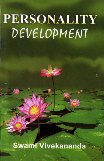Swami Vivekananda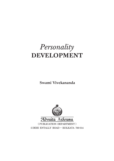## *Personality* **DEVELOPMENT**

**Swami Vivekananda**



5 DEHI ENTALLY ROAD • KOLKATA 700 014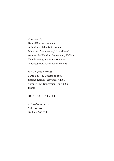#### *Published by*

Swami Bodhasarananda Adhyaksha, Advaita Ashrama Mayavati, Champawat, Uttarakhand *from its Publication Department, Kolkata* Email: mail@advaitaashrama.org Website: www.advaitaashrama.org

© *All Rights Reserved* First Edition, December 1999 Second Edition, November 2001 Twenty-first Impression, July 2009 21M2C

ISBN 978-81-7505-224-6

*Printed in India at* Trio Process Kolkata 700 014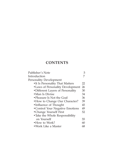### **CONTENTS**

| Publisher's Note                  | 5  |
|-----------------------------------|----|
| Introduction                      |    |
| Personality Development           |    |
| •It Is Personality That Matters   | 22 |
| • Laws of Personality Development | 26 |
| ·Different Layers of Personality  | 30 |
| • Man Is Divine                   | 34 |
| • Pleasure Is Not the Goal        | 36 |
| • How to Change Our Character?    | 39 |
| •Influence of Thought             | 45 |
| • Control Your Negative Emotions  | 49 |
| •Change Yourself First            | 52 |
| • Take the Whole Responsibility   |    |
| on Yourself                       | 55 |
| • How to Work?                    | 60 |
| • Work Like a Master              | 68 |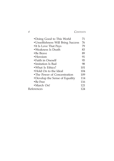| <b>CONTENTS</b> |
|-----------------|
|                 |

| • Doing Good to This World         | 71  |
|------------------------------------|-----|
| • Unselfishness Will Bring Success | 76  |
| •It Is Love That Pays              | 79  |
| •Weakness Is Death                 | 83  |
| • Be Brave                         | 89  |
| $\bullet$ Heroism                  | 91  |
| • Faith in Oneself                 | 95  |
| •Imitation Is Bad                  | 98  |
| • What Is Ethics?                  | 101 |
| •Hold On to the Ideal              | 104 |
| •The Power of Concentration        | 109 |
| •Develop the Sense of Equality     | 114 |
| $\bullet$ Be Free                  | 116 |
| •March On!                         | 121 |
| References                         | 124 |
|                                    |     |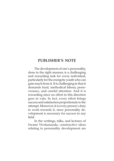#### **PUBLISHER'S NOTE**

The development of one's personality, done in the right manner, is a challenging and rewarding task for every individual, particularly for the energetic youth who can gain much from it. It is challenging in that it demands hard, methodical labour, perseverance, and careful attention. And it is rewarding since no effort in this direction goes in vain. In fact, every effort brings success and satisfaction proportionate to the attempt. Moreover, it is every person's duty to work towards it, since personality development is necessary for success in any field.

In the writings, talks, and lectures of Swami Vivekananda, constructive ideas relating to personality development are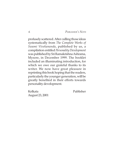*6 PUBLISHER'S NOTE*

profusely scattered. After culling those ideas systematically from *The Complete Works of Swami Vivekananda*, published by us, a compilation entitled *Personality Development* was published by Sri Ramakrishna Ashrama, Mysore, in December 1999. The booklet included an illuminating introduction, for which we owe our grateful thanks to its writer. We now have great pleasure in reprinting this book hoping that the readers, particularly the younger generation, will be greatly benefited in their efforts towards personality development.

Kolkata Publisher August 23, 2001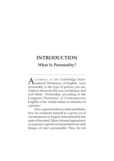#### **What Is Personality?**

 $\Delta$  CCORDING TO THE Cambridge Inter-**T** national Dictionary of English, 'your personality is the type of person you are, which is shown by the way you behave, feel and think.' Personality, according to the Longman Dictionary of Contemporary English, is the 'whole nature or character of a person.'

How a person behaves, feels and thinks, how he conducts himself in a given set of circumstances is largely determined by the state of his mind. Mere external appearance or a person's speech or mannerisms are only fringes of one's personality. They do not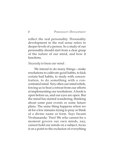reflect the real personality. Personality development in the real sense refers to deeper levels of a person. So a study of our personality should start from a clear grasp of the nature of our mind, and how it functions.

#### *Necessity to know our mind :*

We intend to do many things—make resolutions to cultivate good habits, to kick certain bad habits, to study with concentration, to do something with a concentrated mind. Very often our mind rebels, forcing us to beat a retreat from our efforts at implementing our resolutions. A book is open before us, and our eyes are open. But the mind has started wandering, thinking about some past events or some future plans. The same thing happens when we sit for a few minutes trying to pray or think of a divine name or form. Says Swami Vivekananda: 'Free! We who cannot for a moment govern our own minds, nay, cannot hold our minds on a subject, focus it on a point to the exclusion of everything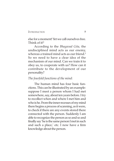else for a moment! Yet we call ourselves free. Think of it!<sup>1</sup>

According to the *Bhagavad Gita,* the undisciplined mind acts as our enemy, whereas a trained mind acts as our friend.<sup>2</sup> So we need to have a clear idea of the mechanism of our mind. Can we train it to obey us, to cooperate with us? How can it contribute to the development of our personality?

#### *The fourfold functions of the mind:*

The human mind has four basic functions. This can be illustrated by an example: suppose I meet a person whom I had met somewhere, say, about ten years before. I try to recollect when and where I met him and who is he. From the inner recesses of my mind there begins a process of scanning, as it were, to check if there are any events stored there connected with the person. Suddenly I am able to recognize the person as so and so and finally say 'he is the same person I met in such and such a place,' etc. I now have a firm knowledge about the person.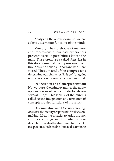Analysing the above example, we are able to discern four functions of the mind:

**Memory**: The storehouse of memory and impressions of our past experiences presents various possibilities before the mind. This storehouse is called *chitta.* It is in this storehouse that the impressions of our thoughts and actions—good and bad—are stored. The sum total of these impressions determine our character. This *chitta,* again, is what is known as our subconscious mind.

**Deliberation and Conceptualization:** Not yet sure, the mind examines the many options presented before it. It deliberates on several things. This faculty of the mind is called *manas.* Imagination and formation of concepts are also functions of the *manas.*

**Determination and Decision-making:** *Buddhi* is the faculty responsible for decisionmaking. It has the capacity to judge the *pros* and *cons* of things and find what is more desirable. It is also the discriminative faculty in a person, which enables him to discriminate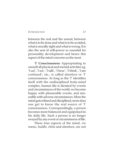between the real and the unreal, between what is to be done and what is to be avoided, what is morally right and what is wrong. It is also the seat of will-power so essential for personality development and hence this aspect of the mind concerns us the most.

**'I' Consciousness:** Appropriating to oneself all physical and mental activities eg, 'I eat', 'I see', 'I talk', 'I hear', 'I think', 'I am confused', etc., is called *ahamkara* or 'I' consciousness. As long as the 'I' identifies itself with the undisciplined body-mind complex, human life is dictated by events and circumstances of the world; we become happy with pleasurable events, and miserable with adverse circumstances. More the mind gets refined and disciplined, more does one get to know the real source of 'I' consciousness. Correspondingly, a person becomes more balanced and equipoised in his daily life. Such a person is no longer swayed by any event or circumstances of life.

These four aspects of the mind, viz *manas, buddhi, chitta* and *ahamkara,* are not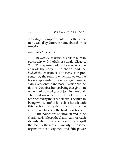watertight compartments. It is the same mind called by different names based on its functions.

#### *More about the mind:*

The *Katha Upanishad*3 describes human personality with the help of a chariot allegory. 'Our 'I' is represented by the master of the chariot; the body is the chariot and the *buddhi* the charioteer. The *manas* is represented by the reins to which are yoked the horses representing the sense organs—ears, skin, eyes, tongue and nose—which are the five windows in a human being that give him or her the knowledge of objects in the world. The road on which the chariot travels is represented by the sense objects. The human being who identifies himself or herself with this body-mind system is said to be the enjoyer of objects or the fruits of actions.

If the horses are not broken and if the charioteer is asleep, the chariot cannot reach its destination. It can even overturn and spell the death of the master. Similarly, if the sense organs are not disciplined, and if the power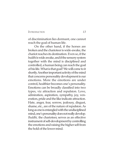of discrimination lies dormant, one cannot reach the goal of human life.

On the other hand, if the horses are broken and the charioteer is wide-awake, the chariot reaches its destination. Even so, if the *buddhi* is wide awake, and if the sensory system together with the mind is disciplined and controlled, a human being can reach the goal of his life. What is that goal? We will come to it shortly. Another important activity of the mind that concerns personality development is our emotions. More the emotions are under control, healthier becomes one's personality. Emotions can be broadly classified into two types, viz attraction and repulsion. Love, admiration, aspiration, sympathy, joy, veneration, pride and the like indicate attraction. Hate, anger, fear, sorrow, jealousy, disgust, shame, etc., are of the nature of repulsion. As long as one is entangled with the undisciplined mind, one's personality does not really develop. *Buddhi,* the charioteer, serves as an effective instrument of self-development by controlling the emotions and raising the higher self from the hold of the lower mind.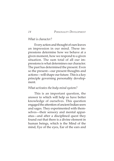#### *What is character?*

Every action and thought of ours leaves an impression in our mind. These impressions determine how we behave at a given moment, how we respond to a given situation. The sum total of all our impressions is what determines our character. The past has determined the present. Even so the present—our present thoughts and actions—will shape our future. This is a key principle governing personality development.

#### *What activates the body-mind system?*

This is an important question, the answer to which will help us have better knowledge of ourselves. This question engaged the attention of ancient Indian seers and sages. They experimented with themselves—their sensory and mental apparatus—and after a disciplined quest they found out that there is a divine element in human beings, which is the Mind of the mind, Eye of the eyes, Ear of the ears and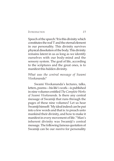Speech of the speech.<sup>4</sup> It is this divinity which constitutes the real 'I' and the eternal element in our personality. This divinity survives physical dissolution of the body. This divinity remains latent in us as long as we identify ourselves with our body-mind and the sensory system. The goal of life, according to the scriptures and the great ones, is to manifest this hidden divinity.

#### *What was the central message of Swami Vivekananda?*

Swami Vivekananda's lectures, talks, letters, poems—his life's work—is published in nine volumes entitled *The Complete Works of Swami Vivekananda*. Is there any central message of Swamiji that runs through the pages of these nine volumes? Let us hear Swamiji himself: 'My ideal indeed can be put into a few words and that is: to preach unto mankind their divinity, and how to make it manifest in every movement of life.'5 Man's inherent divinity was Swamiji's central message. The following famous quotation of Swamiji can be our *mantra* for personality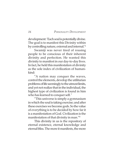development: 'Each soul is potentially divine. The goal is to manifest this Divinity within by controlling nature, external and internal.'6

Swamiji was never tired of rousing people to be conscious of their inherent divinity and perfection. He wanted this divinity to manifest in our day-to-day lives. In fact, he held this manifestation of divinity as the sole index of civilization of humankind:

"A nation may conquer the waves, control the elements, develop the utilitarian problems of life seemingly to the utmost limits, and yet not realize that in the individual, the highest type of civilization is found in him who has learned to conquer self.<sup>7</sup>

"This universe is simply a gymnasium in which the soul is taking exercise; and after these exercises we become gods. So the value of everything is to be decided by how far it is a manifestation of God. Civilization is the manifestation of that divinity in man."8

This divinity in us is the repository of eternal existence, eternal knowledge and eternal bliss. The more it manifests, the more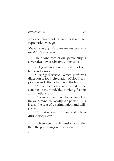we experience abiding happiness and get supreme knowledge.

*Strengthening of will-power, the essence of personality development:*

The divine core of our personality is covered, as it were, by five dimensions:

*• Physical dimension* consisting of our body and senses.

*• Energy dimension* which performs digestion of food, circulation of blood, respiration and other activities in the body.

*• Mental dimension* characterized by the activities of the mind, like, thinking, feeling and emotions, etc.

*• Intellectual dimension* characterized by the determinative faculty in a person. This is also the seat of discrimination and willpower.

*• Blissful dimension* experienced as bliss during deep sleep.

Each succeeding dimension is subtler than the preceding one and pervades it.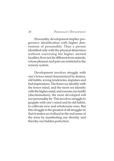Personality development implies progressive identification with higher dimensions of personality. Thus a person identified only with the physical dimension without exercising his higher mental faculties, lives not far different from animals, whose pleasure and pain are restricted to the sensory system.

Development involves struggle with one's lower mind characterized by desires, old habits, wrong tendencies, impulses and bad impressions. The lesser we identify with the lower mind, and the more we identify with the higher mind, and exercise our *buddhi* (discrimination), the more developed will our personality be. This involves struggle to grapple with one's mind and its old habits, to cultivate new and wholesome ones. But this struggle is the greatest of all struggles in that it makes us civilized in the real sense of the term by manifesting our divinity and thereby our hidden perfection.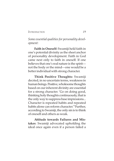*Some essential qualities for personality development:*

**Faith in Oneself:** Swamiji held faith in one's potential divinity as the sheet anchor of personality development. Faith in God came next only to faith in oneself. If one believes that one's real nature is the spirit not the body or the mind—one would be a better individual with strong character.

**Think Positive Thoughts:** Swamiji decried, in no uncertain terms, weakness in human beings. Positive, wholesome thoughts based on our inherent divinity are essential for a strong character. 'Go on doing good, thinking holy thoughts continuously, that is the only way to suppress base impressions... Character is repeated habits and repeated habits alone can reform character.'9 Further, according to Swamiji, the only sin is to think of oneself and others as weak.

**Attitude towards Failures and Mistakes**: Swamiji advocated upholding the ideal once again even if a person failed a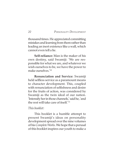thousand times. He appreciated committing mistakes and learning from them rather than leading an inert existence like a wall, which cannot even tell a lie.

**Self-reliance:** Man is the maker of his own destiny, said Swamiji: 'We are responsible for what we are, and whatever we wish ourselves to be, we have the power to make ourselves.'10

**Renunciation and Service:** Swamiji held selfless service as a paramount means to character development. This, coupled with renunciation of selfishness and desire for the fruits of action, was considered by Swamiji as the twin ideal of our nation. 'Intensify her in those channels,' said he, 'and the rest will take care of itself.'11

#### *This booklet:*

This booklet is a humble attempt to present Swamiji's ideas on personality development spread over the nine volumes of his *Complete Works*. We hope that a perusal of this booklet inspires our youth to make a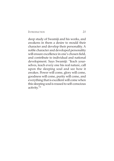deep study of Swamiji and his works, and awakens in them a desire to mould their character and develop their personality. A noble character and developed personality will ensure excellence in one's chosen field, and contribute to individual and national development. Says Swamiji: 'Teach yourselves, teach every one his real nature, call upon the sleeping soul and see how it awakes. Power will come, glory will come, goodness will come, purity will come, and everything that is excellent will come when this sleeping soul is roused to self-conscious activity.'12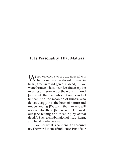#### **It Is Personality That Matters**

WHAT WE WANT IS to see the man who is<br>harmoniously developed . . . great in<br>heavy great in mind [smeat in dead] heart, great in mind, [great in deed] . . .. We want the man whose heart feels intensely the miseries and sorrows of the world . . .. And [we want] the man who not only can feel but can find the meaning of things, who delves deeply into the heart of nature and understanding. [We want] the man who will not even stop there, [but] who wants to work out [the feeling and meaning by actual deeds]. Such a combination of head, heart, and hand is what we want.<sup>1</sup>

 You see what is happening all around us. The world is one of influence. Part of our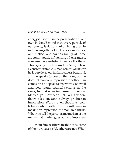#### *IT IS PERSONALITY THAT MATTERS 23*

energy is used up in the preservation of our own bodies. Beyond that, every particle of our energy is day and night being used in influencing others. Our bodies, our virtues, our intellect, and our spirituality, all these are continuously influencing others; and so, conversely, we are being influenced by them. This is going on all around us. Now, to take a concrete example. A man comes; you know he is very learned, his language is beautiful, and he speaks to you by the hour; but he does not make any impression. Another man comes, and he speaks a few words, not well arranged, ungrammatical perhaps; all the same, he makes an immense impression. Many of you have seen that. So it is evident that words alone cannot always produce an impression. Words, even thoughts, contribute only one-third of the influence in making an impression, the man, two-thirds. What you call the personal magnetism of the man—that is what goes out and impresses you.

In our families there are the heads; some of them are successful, others are not. Why?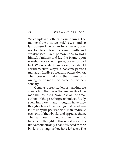We complain of others in our failures. The moment I am unsuccessful, I say, so-and-so is the cause of the failure. In failure, one does not like to confess one's own faults and weaknesses. Each person tries to hold himself faultless and lay the blame upon somebody or something else, or even on bad luck. When heads of families fail, they should ask themselves, why it is that some persons manage a family so well and others do not. Then you will find that the difference is owing to the man—his presence, his personality.

Coming to great leaders of mankind, we always find that it was the personality of the man that counted. Now, take all the great authors of the past, the great thinkers. Really speaking, how many thoughts have they thought? Take all the writings that have been left to us by the past leaders of mankind; take each one of their books and appraise them. The real thoughts, new and genuine, that have been thought in this world up to this time, amount to only a handful. Read in their books the thoughts they have left to us. The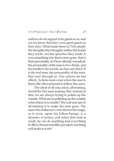#### *IT IS PERSONALITY THAT MATTERS 25*

authors do not appear to be giants to us, and yet we know that they were great giants in their days. What made them so? Not simply the thoughts they thought, neither the books they wrote, nor the speeches they made, it was something else that is now gone, that is their personality. As I have already remarked, the personality of the man is two-thirds, and his intellect, his words, are but one-third. It is the real man, the personality of the man, that runs through us. Our actions are but effects. Actions must come when the man is there; the effect is bound to follow the cause.

The ideal of all education, all training, should be this man-making. But, instead of that, we are always trying to polish up the outside. What use in polishing up the outside when there is no inside? The end and aim of all training is to make the man grow. The man who influences, who throws his magic, as it were, upon his fellow-beings, is a dynamo of power, and when that man is ready, he can do anything and everything he likes; that personality put upon anything will make it work.<sup>2</sup>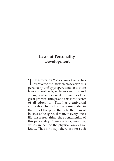#### **Laws of Personality Development**

THE SCIENCE OF YOGA claims that it has  $\perp$  discovered the laws which develop this personality, and by proper attention to those laws and methods, each one can grow and strengthen his personality. This is one of the great practical things, and this is the secret of all education. This has a universal application. In the life of a householder, in the life of the poor, the rich, the man of business, the spiritual man, in every one's life, it is a great thing, the strengthening of this personality. There are laws, very fine, which are behind the physical laws, as we know. That is to say, there are no such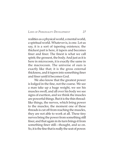*LAWS OF PERSONALITY DEVELOPMENT 27*

realities as a physical world, a mental world, a spiritual world. Whatever is, is one. Let us say, it is a sort of tapering existence; the thickest part is here, it tapers and becomes finer and finer. The finest is what we call spirit; the grossest, the body. And just as it is here in microcosm, it is exactly the same in the macrocosm. The universe of ours is exactly like that; it is the gross external thickness, and it tapers into something finer and finer until it becomes God.

We also know that the greatest power is lodged in the fine, not the coarse. We see a man take up a huge weight, we see his muscles swell, and all over his body we see signs of exertion, and we think the muscles are powerful things. But it is the thin threadlike things, the nerves, which bring power to the muscles; the moment one of these threads is cut off from reaching the muscles, they are not able to work at all. These tiny nerves bring the power from something still finer, and that again in its turn brings it from something finer still—thought, and so on. So, it is the fine that is really the seat of power.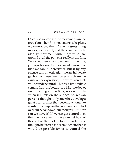Of course we can see the movements in the gross; but when fine movements take place, we cannot see them. When a gross thing moves, we catch it, and thus, we naturally identify movement with things which are gross. But all the power is really in the fine. We do not see any movement in the fine, perhaps, because the movement is so intense that we cannot perceive it. But if by any science, any investigation, we are helped to get hold of these finer forces which are the cause of the expression, the expression itself will be under control. There is a little bubble coming from the bottom of a lake; we do not see it coming all the time, we see it only when it bursts on the surface; so, we can perceive thoughts only after they develop a great deal, or after they become actions. We constantly complain that we have no control over our actions, over our thoughts. But how can we have it? If we can get control over the fine movements, if we can get hold of thought at the root, before it has become thought, before it has become action, then it would be possible for us to control the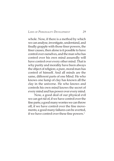#### *LAWS OF PERSONALITY DEVELOPMENT 29*

whole. Now, if there is a method by which we can analyse, investigate, understand, and finally grapple with those finer powers, the finer causes, then alone is it possible to have control over ourselves, and the man who has control over his own mind assuredly will have control over every other mind. That is why purity and morality have been always the object of religion; a pure, moral man has control of himself. And all minds are the same, different parts of one Mind. He who knows one lump of clay has known all the clay in the universe. He who knows and controls his own mind knows the secret of every mind and has power over every mind.

Now, a good deal of our physical evil we can get rid of, if we have control over the fine parts; a good many worries we can throw off, if we have control over the fine movements; a good many failures can be averted, if we have control over these fine powers.<sup>1</sup>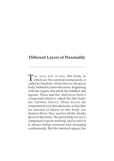#### **Different Layers of Personality**

THIS GROSS PART OF MAN, this body, in  $\perp$  which are the external instruments, is called in Sanskrit, *Sthula Sharira*, the gross body; behind it comes the series, beginning with the organs, the mind, the intellect, the egoism. These and the vital forces form a compound which is called the fine body, the *Sukshma Sharira*. These forces are composed of very fine elements, so fine that no amount of injury to this body can destroy them; they survive all the shocks given to this body. The gross body we see is composed of gross material, and as such it is always being renewed and changing continuously. But the internal organs, the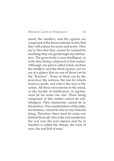*DIFFERENT LAYERS OF PERSONALITY 31*

mind, the intellect, and the egoism are composed of the finest material, so fine that they will endure for aeons and aeons. They are so fine that they cannot be resisted by anything; they can get through any obstruction. The gross body is non-intelligent, so is the fine, being composed of fine matter. Although one part is called mind, another the intellect, and the third egoism, yet we see at a glance that no one of them can be the "Knower ". None of them can be the perceiver, the witness, the one for whom action is made, and who is the seer of the action. All these movements in the mind, or the faculty of intellection, or egoism, must be for some one else. These being composed of fine matter cannot be selfeffulgent. Their luminosity cannot be in themselves. This manifestation of the table, for instance, cannot be due to any material thing. Therefore there must be some one behind them all, who is the real manifester, the real seer, the real enjoyer and He in Sanskrit is called the Atman, the Soul of man, the real Self of man.<sup>1</sup>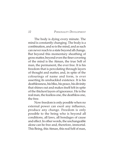The body is dying every minute. The mind is constantly changing. The body is a combination, and so is the mind, and as such can never reach to a state beyond all change. But beyond this momentary sheathing of gross matter, beyond even the finer covering of the mind is the Atman, the true Self of man, the permanent, the ever free. It is his freedom that is percolating through layers of thought and matter, and, in spite of the colourings of name and form, is ever asserting its unshackled existence. It is his deathlessness, his bliss, his peace, his divinity that shines out and makes itself felt in spite of the thickest layers of ignorance. He is the real man, the fearless one, the deathless one, the free.

Now freedom is only possible when no external power can exert any influence, produce any change. Freedom is only possible to the being who is beyond all conditions, all laws, all bondages of cause and effect. In other words, the unchangeable alone can be free and, therefore, immortal. This Being, this Atman, this real Self of man,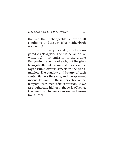#### *DIFFERENT LAYERS OF PERSONALITY 33*

the free, the unchangeable is beyond all conditions, and as such, it has neither birth nor death.2

Every human personality may be compared to a glass globe. There is the same pure white light—an emission of the divine Being—in the centre of each, but the glass being of different colours and thickness, the rays assume diverse aspects in the transmission. The equality and beauty of each central flame is the same, and the apparent inequality is only in the imperfection of the temporal instrument of its expression. As we rise higher and higher in the scale of being, the medium becomes more and more translucent.3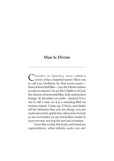#### **Man Is Divine**

C HILDREN OF IMMORTAL BLISS—what a<br>sweet, what a hopeful name! Allow me to call you, brethren, by that sweet name heirs of immortal bliss—yea, the Hindu refuses to call you sinners. Ye are the Children of God, the sharers of immortal bliss, holy and perfect beings. Ye divinities on earth—sinners! It is a sin to call a man so; it is a standing libel on human nature. Come up, O lions, and shake off the delusion that you are sheep; you are souls immortal, spirits free, blest and eternal; ye are not matter, ye are not bodies; matter is your servant, not you the servant of matter.1

Even this world, this body and mind are superstitions; what infinite souls you are!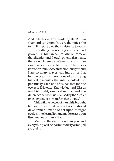*MAN IS DIVINE 35*

And to be tricked by twinkling stars! It is a shameful condition. You are divinities; the twinkling stars owe their existence to you.<sup>2</sup>

Everything that is strong, and good, and powerful in human nature is the outcome of that divinity, and though potential in many, there is no difference between man and man essentially, all being alike divine. There is, as it were, an infinite ocean behind, and you and I are so many waves, coming out of that infinite ocean; and each one of us is trying his best to manifest that infinite outside. So, potentially, each one of us has that infinite ocean of Existence, Knowledge, and Bliss as our birthright, our real nature; and the difference between us is caused by the greater or lesser power to manifest that divine.<sup>3</sup>

This infinite power of the spirit, brought to bear upon matter evolves material development, made to act upon thought evolves intellectuality, and made to act upon itself makes of man a God.

Manifest the divinity within you, and everything will be harmoniously arranged around it.4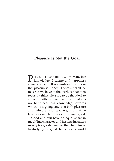# **Pleasure Is Not the Goal**

LEASURE IS NOT THE GOAL of man, but knowledge. Pleasure and happiness come to an end. It is a mistake to suppose that pleasure is the goal. The cause of all the miseries we have in the world is that men foolishly think pleasure to be the ideal to strive for. After a time man finds that it is not happiness, but knowledge, towards which he is going, and that both pleasure and pain are great teachers, and that he learns as much from evil as from good. …Good and evil have an equal share in moulding character, and in some instances misery is a greater teacher than happiness. In studying the great characters the world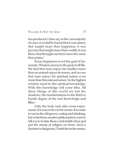## *PLEASURE IS NOT THE GOAL 37*

has produced, I dare say, in the vast majority of cases, it would be found that it was misery that taught more than happiness, it was poverty that taught more than wealth, it was blows that brought out their inner fire more than praise. $1$ 

Sense-happiness is not the goal of humanity. Wisdom (*Jnana*) is the goal of all life. We find that man enjoys his intellect more than an animal enjoys its senses; and we see that man enjoys his spiritual nature even more than this rational nature. So the highest wisdom must be this spiritual knowledge. With this knowledge will come bliss. All these things of this world are but the shadows, the manifestations in the third or fourth degree of the real Knowledge and Bliss.2

Only the fools rush after sense-enjoyments. It is easy to live in the senses. It is easier to run in the old groove, eating and drinking; but what these modern philosophers want to tell you is to take these comfortable ideas and put the stamp of religion on them. Such a doctrine is dangerous. Death lies in the senses.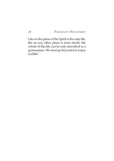Life on the plane of the Spirit is the only life, life on any other plane is mere death; the whole of this life can be only described as a gymnasium. We must go beyond it to enjoy real life. $3$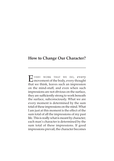## **How to Change Our Character?**

E VERY WORK THAT WE DO, every<br>movement of the body, every thought that we think, leaves such an impression on the mind-stuff, and even when such impressions are not obvious on the surface, they are sufficiently strong to work beneath the surface, subconsciously. What we are every moment is determined by the sum total of these impressions on the mind. What I am just at this moment is the effect of the sum total of all the impressions of my past life. This is really what is meant by character; each man's character is determined by the sum total of these impressions. If good impressions prevail, the character becomes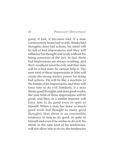good; if bad, it becomes bad. If a man continuously hears bad words, thinks bad thoughts, does bad actions, his mind will be full of bad impressions; and they will influence his thought and work without his being conscious of the fact. In fact, these bad impressions are always working, and their resultant must be evil, and that man will be a bad man; he cannot help it. The sum total of these impressions in him will create the strong motive power for doing bad actions. He will be like a machine in the hands of his impressions, and they will force him to do evil. Similarly, if a man thinks good thoughts and does good works, the sum total of these impressions will be good; and they, in a similar manner, will force him to do good even in spite of himself. When a man has done so much good work and thought so many good thoughts that there is an irresistible tendency in him to do good, in spite of himself and even if he wishes to do evil, his mind, as the sum total of his tendencies, will not allow him to do so; the tendencies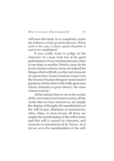## *HOW TO CHANGE OUR CHARACTER? 41*

will turn him back; he is completely under the influence of the good tendencies. When such is the case, a man's good character is said to be established.<sup>1</sup>

If you really want to judge of the character of a man, look not at his great performances. Every fool may become a hero at one time or another. Watch a man do his most common actions; those are indeed the things which will tell you the real character of a great man. Great occasions rouse even the lowest of human beings to some kind of greatness, but he alone is the really great man whose character is great always, the same wherever he be $2$ 

All the actions that we see in the world, all the movements in human society, all the works that we have around us, are simply the display of thought, the manifestation of the will of man. Machines or instruments, cities, ships, or men-of-war, all these are simply the manifestation of the will of man; and this will is caused by character, and character is manufactured by *Karma*. As is *Karma*, so is the manifestation of the will.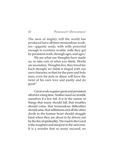The men of mighty will the world has produced have all been tremendous workers—gigantic souls, with wills powerful enough to overturn worlds, wills they got by persistent work, through ages, and ages.<sup>3</sup>

We are what our thoughts have made us; so take care of what you think. Words are secondary. Thoughts live, they travel far. Each thought we think is tinged with our own character, so that for the pure and holy man, even his jests or abuse will have the twist of his own love and purity and do good.4

Great work requires great and persistent effort for a long time. Neither need we trouble ourselves if a few fail. It is in the nature of things that many should fall, that troubles should come, that tremendous difficulties should arise, that selfishness and all the other devils in the human heart should struggle hard when they are about to be driven out by the fire of spirituality. The road to the Good is the roughest and steepest in the universe. It is a wonder that so many succeed, no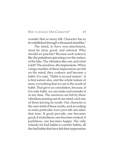## *HOW TO CHANGE OUR CHARACTER? 43*

wonder that so many fall. Character has to be established through a thousand stumbles.<sup>5</sup>

The mind, to have non-attachment, must be clear, good, and rational. Why should we practise? Because each action is like the pulsations quivering over the surface of the lake. The vibration dies out, and what is left? The s*amskaras*, the impressions. When a large number of these impressions are left on the mind, they coalesce and become a habit. It is said, "Habit is second nature", it is first nature also, and the whole nature of man; everything that we are is the result of habit. That gives us consolation, because, if it is only habit, we can make and unmake it at any time. The *samskaras* are left by these vibrations passing out of our mind, each one of them leaving its result. Our character is the sum-total of these marks, and according as some particular wave prevails one takes that tone. If good prevails, one becomes good; if wickedness, one becomes wicked; if joyfulness, one becomes happy. The only remedy for bad habits is counter habits; all the bad habits that have left their impressions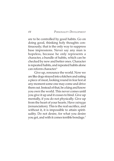are to be controlled by good habits. Go on doing good, thinking holy thoughts continuously; that is the only way to suppress base impressions. Never say any man is hopeless, because he only represents a character, a bundle of habits, which can be checked by new and better ones. Character is repeated habits, and repeated habits alone can reform character.6

Give up, renounce the world. Now we are like dogs strayed into a kitchen and eating a piece of meat, looking round in fear lest at any moment some one may come and drive them out. Instead of that, be a king and know you own the world. This never comes until you give it up and it ceases to bind. Give up mentally, if you do not physically. Give up from the heart of your hearts. Have *vairagya* (renunciation). This is the real sacrifice, and without it, it is impossible to attain spirituality. Do not desire, for what you desire you get, and with it comes terrible bondage.7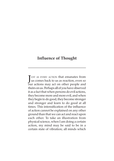## **Influence of Thought**

UST AS EVERY ACTION that emanates from<br>us comes back to us as reaction, even so UST AS EVERY ACTION that emanates from our actions may act on other people and theirs on us. Perhaps all of you have observed it as a fact that when persons do evil actions, they become more and more evil, and when they begin to do good, they become stronger and stronger and learn to do good at all times. This intensification of the influence of action cannot be explained on any other ground than that we can act and react upon each other. To take an illustration from physical science, when I am doing a certain action, my mind may be said to be in a certain state of vibration; all minds which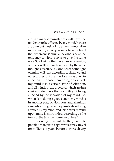are in similar circumstances will have the tendency to be affected by my mind. If there are different musical instruments tuned alike in one room, all of you may have noticed that when one is struck, the others have the tendency to vibrate so as to give the same note. So all minds that have the same tension, so to say, will be equally affected by the same thought. Of course, this influence of thought on mind will vary according to distance and other causes, but the mind is always open to affection. Suppose I am doing an evil act, my mind is in a certain state of vibration, and all minds in the universe, which are in a similar state, have the possibility of being affected by the vibration of my mind. So, when I am doing a good action, my mind is in another state of vibration; and all minds similarly strung have the possibility of being affected by my mind; and this power of mind upon mind is more or less according as the force of the tension is greater or less.<sup>1</sup>

Following this simile further, it is quite possible that, just as light waves may travel for millions of years before they reach any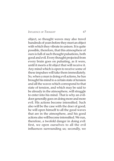### *INFLUENCE OF THOUGHT 47*

object, so thought waves may also travel hundreds of years before they meet an object with which they vibrate in unison. It is quite possible, therefore, that this atmosphere of ours is full of such thought pulsations, both good and evil. Every thought projected from every brain goes on pulsating, as it were, until it meets a fit object that will receive it. Any mind which is open to receive some of these impulses will take them immediately. So, when a man is doing evil actions, he has brought his mind to a certain state of tension and all the waves which correspond to that state of tension, and which may be said to be already in the atmosphere, will struggle to enter into his mind. That is why an evildoer generally goes on doing more and more evil. His actions become intensified. Such also will be the case with the doer of good; he will open himself to all the good waves that are in the atmosphere, and his good actions also will become intensified. We run, therefore, a twofold danger in doing evil: first, we open ourselves to all the evil influences surrounding us; secondly, we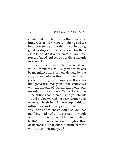create evil which affects others, may be hundreds of years hence. In doing evil we injure ourselves and others also. In doing good we do good to ourselves and to others as well; and, like all other forces in man, these forces of good and evil also gather strength from outside $^2$ 

Fill yourselves with the idea; whatever you do, think well on it. All your actions will be magnified, transformed, deified, by the very power of the thought. If matter is powerful, thought is omnipotent. Bring this thought to bear upon your life, fill yourselves with the thought of your almightiness, your majesty, and your glory. Would to God no superstitions had been put into your head! Would to God we had not been surrounded from our birth by all these superstitious influences and paralysing ideas of our weakness and vileness! Would to God that mankind had had an easier path through which to attain to the noblest and highest truths! But man had to pass through all this; do not make the path more difficult for those who are coming after you.<sup>3</sup>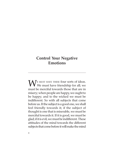# **Control Your Negative Emotions**

WE MUST HAVE THESE four sorts of ideas.<br>We must have friendship for all; we must be merciful towards those that are in misery; when people are happy, we ought to be happy; and to the wicked we must be indifferent. So with all subjects that come before us. If the subject is a good one, we shall feel friendly towards it; if the subject of thought is one that is miserable, we must be merciful towards it. If it is good, we must be glad; if it is evil, we must be indifferent. These attitudes of the mind towards the different subjects that come before it will make the mind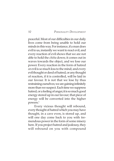peaceful. Most of our difficulties in our daily lives come from being unable to hold our minds in this way. For instance, if a man does evil to us, instantly we want to react evil, and every reaction of evil shows that we are not able to hold the *chitta* down; it comes out in waves towards the object, and we lose our power. Every reaction in the form of hatred or evil is so much loss to the mind; and every evil thought or deed of hatred, or any thought of reaction, if it is controlled, will be laid in our favour. It is not that we lose by thus restraining ourselves; we are gaining infinitely more than we suspect. Each time we suppress hatred, or a feeling of anger, it is so much good energy stored up in our favour; that piece of energy will be converted into the higher powers.1

Every vicious thought will rebound, every thought of hatred which you may have thought, in a cave even, is stored up, and will one day come back to you with tremendous power in the form of some misery here. If you project hatred and jealousy, they will rebound on you with compound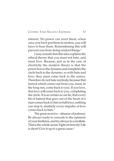## *CONTROL YOUR NEGATIVE EMOTIONS 51*

interest. No power can avert them; when once you have put them in motion, you will have to bear them. Remembering this will prevent you from doing wicked things.<sup>2</sup>

I may remark that this idea explains the ethical theory that you must not hate, and must love. Because, just as in the case of electricity the modern theory is that the power leaves the dynamo and completes the circle back to the dynamo, so with hate and love; they must come back to the source. Therefore do not hate anybody, because that hatred which comes out from you, must, in the long run, come back to you. If you love, that love will come back to you, completing the circle. It is as certain as can be, that every bit of hatred that goes out of the heart of a man comes back to him in full force, nothing can stop it; similarly every impulse of love comes back to him.3

The great secret is—absence of jealousy. Be always ready to concede to the opinions of your brethren, and try always to conciliate. That is the whole secret. Fight on bravely! Life is short! Give it up to a great cause.<sup>4</sup>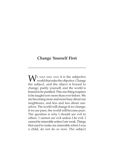## **Change Yourself First**

 $\mathbf{W}^{\text{\tiny{E HAVE SEEN THAT it is the subjective}}$  world that rules the objective. Change the subject, and the object is bound to change; purify yourself, and the world is bound to be purified. This one thing requires to be taught now more than ever before. We are becoming more and more busy about our neighbours, and less and less about ourselves. The world will change if we change; if we are pure, the world will become pure. The question is why I should see evil in others. I cannot see evil unless I be evil. I cannot be miserable unless I am weak. Things that used to make me miserable when I was a child, do not do so now. The subject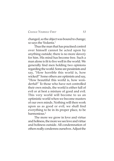## *CHANGE YOURSELF FIRST 53*

changed, so the object was bound to change; so says the Vedanta.<sup>1</sup>

Thus the man that has practised control over himself cannot be acted upon by anything outside; there is no more slavery for him. His mind has become free. Such a man alone is fit to live well in the world. We generally find men holding two opinions regarding the world. Some are pessimists and say, "How horrible this world is, how wicked!" Some others are optimists and say, "How beautiful this world is, how wonderful!" To those who have not controlled their own minds, the world is either full of evil or at best a mixture of good and evil. This very world will become to us an optimistic world when we become masters of our own minds. Nothing will then work upon us as good or evil; we shall find everything to be in its proper place, to be harmonious.<sup>2</sup>

The more we grow in love and virtue and holiness, the more we see love and virtue and holiness outside. All condemnation of others really condemns ourselves. Adjust the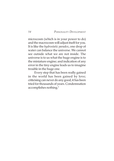microcosm (which is in your power to do) and the macrocosm will adjust itself for you. It is like the *hydrostatic paradox*, one drop of water can balance the universe. We cannot see outside what we are not inside. The universe is to us what the huge engine is to the miniature engine; and indication of any error in the tiny engine leads us to imagine trouble in the huge one.

Every step that has been really gained in the world has been gained by love; criticising can never do any good, it has been tried for thousands of years. Condemnation accomplishes nothing.3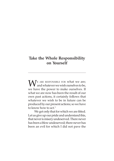# **Take the Whole Responsibility on Yourself**

WE ARE RESPONSIBLE FOR what we are;<br>and whatever we wish ourselves to be, we have the power to make ourselves. If what we are now has been the result of our own past actions, it certainly follows that whatever we wish to be in future can be produced by our present actions; so we have to know how to act.<sup>1</sup>

We get only that for which we are fitted. Let us give up our pride and understand this, that never is misery undeserved. There never has been a blow undeserved; there never has been an evil for which I did not pave the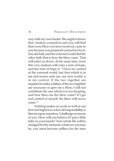way with my own hands. We ought to know that. Analyse yourselves and you will find that every blow you have received, came to you because you prepared yourselves for it. You did half, and the external world did the other half; that is how the blow came. That will sober us down. At the same time, from this very analysis will come a note of hope, and the note of hope is: "I have no control of the external world, but that which is in me and nearer unto me, my own world, is in my control. If the two together are required to make a failure, if the two together are necessary to give me a blow, I will not contribute the one which is in my keeping; and how then can the blow come? If I get real control of myself, the blow will never come."2

Nothing makes us work so well at our best and highest as when all responsibility is thrown upon ourselves. I challenge everyone of you. How will you behave if I put a little baby in your hands? Your whole life will be changed for the moment; whatever you may be, you must become selfless for the time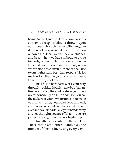## *TAKE THE WHOLE RESPONSIBILITY ON YOURSELF 57*

being. You will give up all your criminal ideas as soon as responsibility is thrown upon you—your whole character will change. So if the whole responsibility is thrown upon our own shoulders, we shall be at our highest and best; when we have nobody to grope towards, no devil to lay our blame upon, no Personal God to carry our burdens, when we are alone responsible, then we shall rise to our highest and best. I am responsible for my fate, I am the bringer of good unto myself, I am the bringer of evil.3

This life is a hard fact; work your way through it boldly, though it may be adamantine; no matter, the soul is stronger. It lays no responsibility on little gods; for you are the makers of your own fortunes. You make yourselves suffer, you make good and evil, and it is you who put your hands before your eyes and say it is dark. Take your hands away and see the light; you are effulgent, you are perfect already, from the very beginning.4

This is the only solution of the problem. Those that blame others—and, alas! the number of them is increasing every day—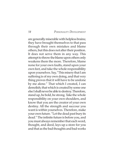are generally miserable with helpless brains; they have brought themselves to that pass through their own mistakes and blame others, but this does not alter their position. It does not serve them in any way. This attempt to throw the blame upon others only weakens them the more. Therefore, blame none for your own faults, stand upon your own feet, and take the whole responsibility upon yourselves. Say, "This misery that I am suffering is of my own doing, and that very thing proves that it will have to be undone by me alone." That which I created, I can demolish; that which is created by some one else I shall never be able to destroy. Therefore, stand up, be bold, be strong. Take the whole responsibility on your own shoulders, and know that you are the creator of your own destiny. All the strength and succour you want is within yourselves. Therefore, make your own future. "Let the dead past bury its dead." The infinite future is before you, and you must always remember that each word, thought, and deed, lays up a store for you and that as the bad thoughts and bad works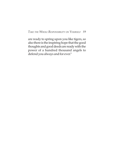## *TAKE THE WHOLE RESPONSIBILITY ON YOURSELF 59*

are ready to spring upon you like tigers, so also there is the inspiring hope that the good thoughts and good deeds are ready with the power of a hundred thousand angels to defend you always and for ever.<sup>5</sup>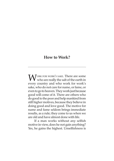## **How to Work?**

WORK FOR WORK'S SAKE. There are some who are really the salt of the earth in every country and who work for work's sake, who do not care for name, or fame, or even to go to heaven. They work just because good will come of it. There are others who do good to the poor and help mankind from still higher motives, because they believe in doing good and love good. The motive for name and fame seldom brings immediate results, as a rule; they come to us when we are old and have almost done with life.

If a man works without any selfish motive in view, does he not gain anything? Yes, he gains the highest. Unselfishness is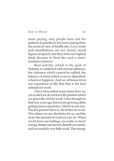*HOW TO WORK? 61*

more paying, only people have not the patience to practise it. It is more paying from the point of view of health also. Love, truth and unselfishness are not merely moral figures of speech, but they form our highest ideal, because in them lies such a manifestation of power. $1$ 

Real activity, which is the goal of Vedanta, is combined with eternal calmness, the calmness which cannot be ruffled, the balance of mind which is never disturbed, whatever happens. And we all know from our experience in life that that is the best attitude for work.

I have been asked many times how we can work if we do not have the passion which we generally feel for work. I also thought in that way years ago, but as I am growing older, getting more experience, I find it is not true. The less passion there is, the better we work. The calmer we are, the better for us, and the more the amount of work we can do. When we let loose our feelings, we waste so much energy, shatter our nerves, disturb our minds, and accomplish very little work. The energy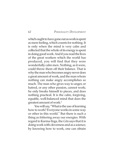which ought to have gone out as work is spent as mere feeling, which counts for nothing. It is only when the mind is very calm and collected that the whole of its energy is spent in doing good work. And if you read the lives of the great workers which the world has produced, you will find that they were wonderfully calm men. Nothing, as it were, could throw them off their balance. That is why the man who becomes angry never does a great amount of work, and the man whom nothing can make angry accomplishes so much. The man who gives way to anger, or hatred, or any other passion, cannot work; he only breaks himself to pieces, and does nothing practical. It is the calm, forgiving, equable, well-balanced mind that does the greatest amount of work.2

You will say, "What is the use of learning how to work? Everyone works in some way or other in this world." But there is such a thing as frittering away our energies. With regard to Karma-Yoga, the *Gita* says that it is doing work with cleverness and as a science; by knowing how to work, one can obtain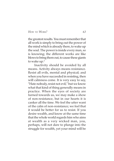*HOW TO WORK? 63*

the greatest results. You must remember that all work is simply to bring out the power of the mind which is already there, to wake up the soul. The power is inside every man, so is knowing; the different works are like blows to bring them out, to cause these giants to wake up.<sup>3</sup>

Inactivity should be avoided by all means. Activity always means resistance. Resist all evils, mental and physical; and when you have succeeded in resisting, then will calmness come. It is very easy to say, "Hate nobody, resist not evil," but we know what that kind of thing generally means in practice. When the eyes of society are turned towards us, we may make a show of non-resistance, but in our hearts it is canker all the time. We feel the utter want of the calm of non-resistance; we feel that it would be better for us to resist. If you desire wealth, and know at the same time that the whole world regards him who aims at wealth as a very wicked man, you, perhaps, will not dare to plunge into the struggle for wealth, yet your mind will be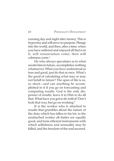running day and night after money. This is hypocrisy and will serve no purpose. Plunge into the world, and then, after a time, when you have suffered and enjoyed all that is in it, will renunciation come; then will calmness come.4

He who always speculates as to what awaits him in future, accomplishes nothing whatsoever. What you have understood as true and good, just do that at once. What's the good of calculating what may or may not befall in future? The span of life is so, so short—and can anything be accomplished in it if you go on forecasting and computing results. God is the only dispenser of results; leave it to Him to do all that. What have you got to do with it? Don't look that way, but go on working.<sup>5</sup>

It is the worker who is attached to results that grumbles about the nature of the duty which has fallen to his lot; to the unattached worker all duties are equally good, and form efficient instruments with which selfishness and sensuality may be killed, and the freedom of the soul secured.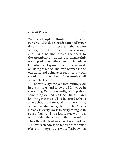*HOW TO WORK? 65*

We are all apt to think too highly of ourselves. Our duties are determined by our deserts to a much larger extent than we are willing to grant. Competition rouses envy, and it kills the kindliness of the heart. To the grumbler all duties are distasteful; nothing will ever satisfy him, and his whole life is doomed to prove a failure. Let us work on, doing as we go whatever happens to be our duty, and being ever ready to put our shoulders to the wheel. Then surely shall we see the Light!<sup>6</sup>

So work, says the Vedanta, putting God in everything, and knowing Him to be in everything. Work incessantly, holding life as something deified, as God Himself, and knowing that this is all we have to do, this is all we should ask for. God is in everything, where else shall we go to find Him? He is already in every work, in every thought, in every feeling. Thus knowing, we must work—this is the only way, there is no other. Thus the effects of work will not bind us. We have seen how false desires are the cause of all the misery and evil we suffer, but when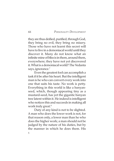they are thus deified, purified, through God, they bring no evil, they bring no misery. Those who have not learnt this secret will have to live in a demoniacal world until they discover it. Many do not know what an infinite mine of bliss is in them, around them, everywhere; they have not yet discovered it. What is a demoniacal world? The Vedanta says, ignorance.<sup>7</sup>

Even the greatest fool can accomplish a task if it be after his heart. But the intelligent man is he who can convert every work into one that suits his taste. No work is petty. Everything in this world is like a banyanseed, which, though appearing tiny as a mustard-seed, has yet the gigantic banyan tree latent within it. He indeed is intelligent who notices this and succeeds in making all work truly great.<sup>8</sup>

Duty of any kind is not to be slighted. A man who does the lower work is not, for that reason only, a lower man than he who does the higher work; a man should not be judged by the nature of his duties, but by the manner in which he does them. His

5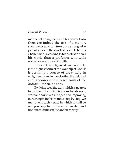*HOW TO WORK? 67*

manner of doing them and his power to do them are indeed the test of a man. A shoemaker who can turn out a strong, nice pair of shoes in the shortest possible time is a better man, according to his profession and his work, than a professor who talks nonsense every day of his life.

Every duty is holy, and devotion to duty is the highest form of the worship of God; it is certainly a source of great help in enlightening and emancipating the deluded and ignorance-encumbered souls of the *Baddhas*—the bound ones.

By doing well the duty which is nearest to us, the duty which is in our hands now, we make ourselves stronger; and improving our strength in this manner step by step, we may even reach a state in which it shall be our privilege to do the most coveted and honoured duties in life and in society.<sup>9</sup>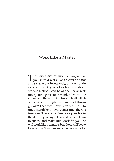## **Work Like a Master**

THE WHOLE GIST OF THIS teaching is that you should work like a *master* and not as a *slave*; work incessantly, but do not do slave's work. Do you not see how everybody works? Nobody can be altogether at rest; ninety-nine per cent of mankind work like slaves, and the result is misery; it is all selfish work. Work through freedom! Work through love! The word "love" is very difficult to understand; love never comes until there is freedom. There is no true love possible in the slave. If you buy a slave and tie him down in chains and make him work for you, he will work like a drudge, but there will be no love in him. So when we ourselves work for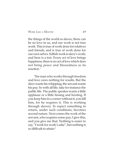## *WORK LIKE A MASTER 69*

the things of the world as slaves, there can be no love in us, and our work is not true work. This is true of work done for relatives and friends, and is true of work done for our own selves. Selfish work is slave's work; and here is a test. Every act of love brings happiness; there is no act of love which does not bring peace and blessedness as its reaction.1

The man who works through freedom and love cares nothing for results. But the slave wants his whipping; the servant wants his pay. So with all life; take for instance the public life. The public speaker wants a little applause or a little hissing and hooting. If you keep him in a corner without it, you kill him, for he requires it. This is working through slavery. To expect something in return, under such conditions, becomes second nature. Next comes the work of the servant, who requires some pay; I give this, and you give me that. Nothing is easier to say, "I work for work's sake", but nothing is so difficult to attain.2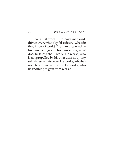We must work. Ordinary mankind, driven everywhere by false desire, what do they know of work? The man propelled by his own feelings and his own senses, what does he know about work? He works, who is not propelled by his own desires, by any selfishness whatsoever. He works, who has no ulterior motive in view. He works, who has nothing to gain from work.<sup>3</sup>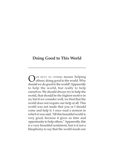## **Doing Good to This World**

UR DUTY TO OTHERS means helping others; doing good to the world. Why should we do good to the world? Apparently to help the world, but really to help ourselves. We should always try to help the world, that should be the highest motive in us; but if we consider well, we find that the world does not require our help at all. This world was not made that you or I should come and help it. I once read a sermon in which it was said, "All this beautiful world is very good, because it gives us time and opportunity to help others." Apparently, this is a very beautiful sentiment, but is it not a blasphemy to say that the world needs our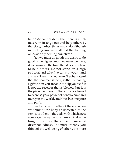help? We cannot deny that there is much misery in it; to go out and help others is, therefore, the best thing we can do, although in the long run, we shall find that helping others is only helping ourselves.<sup>1</sup>

Yet we must do good; the desire to do good is the highest motive power we have, if we know all the time that it is a privilege to help others. Do not stand on a high pedestal and take five cents in your hand and say, "Here, my poor man," but be grateful that the poor man is there, so that by making a gift to him you are able to help yourself. It is not the receiver that is blessed, but it is the giver. Be thankful that you are allowed to exercise your power of benevolence and mercy in the world, and thus become pure and perfect.<sup>2</sup>

We become forgetful of the ego when we think of the body as dedicated to the service of others—the body with which most complacently we identify the ego. And in the long run comes the consciousness of disembodiedness. The more intently you think of the well-being of others, the more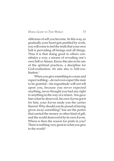## *DOING GOOD TO THIS WORLD 73*

oblivious of self you become. In this way, as gradually your heart gets purified by work, you will come to feel the truth that your own Self is pervading all beings and all things. Thus it is that doing good to others constitutes a way, a means of revealing one's own Self or Atman. Know this also to be one of the spiritual practices, a discipline for God-realisation. Its aim also is Self-realisation.<sup>3</sup>

When you give something to a man and expect nothing—do not even expect the man to be grateful—his ingratitude will not tell upon you, because you never expected anything, never thought you had any right to anything in the way of a return. You gave him what he deserved; his own *Karma* got it for him; your *Karma* made you the carrier thereof. Why should you be proud of having given away something? You are the porter that carried the money or other kind of gift, and the world deserved it by its own *Karma*. Where is then the reason for pride in you? There is nothing very great in what you give to the world.4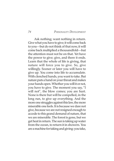Ask nothing; want nothing in return. Give what you have to give; it will come back to you—but do not think of that now, it will come back multiplied a thousandfold—but the attention must not be on that. Yet have the power to give; give, and there it ends. Learn that the whole of life is giving, that nature will force you to give. So, give willingly. Sooner or later you will have to give up. You come into life to accumulate. With clenched hands, you want to take. But nature puts a hand on your throat and makes your hands open. Whether you will it or not, you have to give. The moment you say, "I will not", the blow comes; you are hurt. None is there but will be compelled, in the long run, to give up everything. And the more one struggles against this law, the more miserable one feels. It is because we dare not give, because we are not resigned enough to accede to this grand demand of nature, that we are miserable. The forest is gone, but we get heat in return. The sun is taking up water from the ocean, to return it in showers. You are a machine for taking and giving: you take,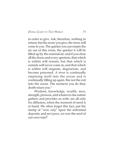*DOING GOOD TO THIS WORLD 75*

in order to give. Ask, therefore, nothing in return; but the more you give, the more will come to you. The quicker you can empty the air out of this room, the quicker it will be filled up by the external air; and if you close all the doors and every aperture, that which is within will remain, but that which is outside will never come in, and that which is within will stagnate, degenerate, and become poisoned. A river is continually emptying itself into the ocean and is continually filling up again. Bar not the exit into the ocean. The moment you do that, death seizes you.5

Wisdom, knowledge, wealth, men, strength, prowess, and whatever else nature gathers and provides us with, are all only for diffusion, when the moment of need is at hand. We often forget this fact, put the stamp of "*mine only*" upon the entrusted deposits, and *pari passu*, we sow the seed of our own ruin!6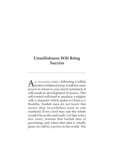# **Unselfishness Will Bring Success**

 $\triangle$  LL OUTGOING ENERGY following a selfish  $\mathbf \Lambda$ motive is frittered away; it will not cause power to return to you; but if restrained, it will result in development of power. This self-control will tend to produce a mighty will, a character which makes a Christ or a Buddha. Foolish men do not know this secret; they nevertheless want to rule mankind. Even a fool may rule the whole world if he works and waits. Let him wait a few years, restrain that foolish idea of governing; and when that idea is wholly gone, he will be a power in the world. The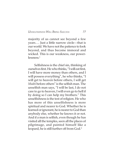*UNSELFISHNESS WILL BRING SUCCESS 77*

majority of us cannot see beyond a few years…. Just a little narrow circle—that is our world. We have not the patience to look beyond, and thus become immoral and wicked. This is our weakness, our powerlessness.1

Selfishness is the chief sin, thinking of ourselves first. He who thinks, "I will eat first, I will have more money than others, and I will possess everything", he who thinks, "I will get to heaven before others, I will get *Mukti* before others" is the selfish man. The unselfish man says, "I will be last, I do not care to go to heaven, I will even go to hell if by doing so I can help my brothers." This unselfishness is the test of religion. He who has more of this unselfishness is more spiritual and nearer to God. Whether he is learned or ignorant, he is nearer to God than anybody else, whether he knows it or not. And if a man is selfish, even though he has visited all the temples, seen all the places of pilgrimage, and painted himself like a leopard, he is still further off from God.<sup>2</sup>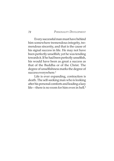Every successful man must have behind him somewhere tremendous integrity, tremendous sincerity, and that is the cause of his signal success in life. He may not have been perfectly unselfish; yet he was tending towards it. If he had been perfectly unselfish, his would have been as great a success as that of the Buddha or of the Christ. The degree of unselfishness marks the degree of success everywhere.<sup>3</sup>

Life is ever expanding, contraction is death. The self-seeking man who is looking after his personal comforts and leading a lazy life—there is no room for him even in hell.<sup>4</sup>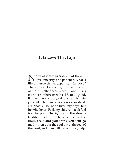## **It Is Love That Pays**

**NOTHING ELSE IS NECESSARY but these—**<br>love, sincerity, and patience. What is life but growth, i.e. expansion, i.e. love? Therefore all love is life, it is the only law of life; all selfishness is death, and this is true here or hereafter. It is life to do good, it is death not to do good to others. Ninety per cent of human brutes you see are dead, are ghosts—for none lives, my boys, but he who loves. Feel, my children, feel; feel for the poor, the ignorant, the downtrodden; feel till the heart stops and the brain reels and you think you will go mad—then pour the soul out at the feet of the Lord, and then will come power, help,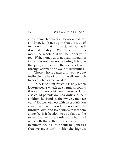and indomitable energy…Be not afraid, my children. Look not up in that attitude of fear towards that infinite starry vault as if it would crush you. Wait! In a few hours more, the whole of it will be under your feet. Wait, money does not pay, nor name; fame does not pay, nor learning. It is love that pays; it is character that cleaves its way through adamantine walls of difficulties.<sup>1</sup>

Those who are men and yet have no feeling in the heart for man, well, are such to be counted as men at all?<sup>2</sup>

Duty is seldom sweet. It is only when love greases its wheels that it runs smoothly; it is a continuous friction otherwise. How else could parents do their duties to their children, husbands to their wives, and vice versa? Do we not meet with cases of friction every day in our lives? Duty is sweet only through love, and love shines in freedom alone. Yet is it freedom to be a slave to the senses, to anger, to jealousies and a hundred other petty things that must occur every day in human life? In all these little roughnesses that we meet with in life, the highest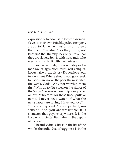## *IT IS LOVE THAT PAYS 81*

expression of freedom is to forbear. Women, slaves to their own irritable, jealous tempers, are apt to blame their husbands, and assert their own "freedom", as they think, not knowing that thereby they only prove that they are slaves. So it is with husbands who eternally find fault with their wives.<sup>3</sup>

Love never fails, my son; today or tomorrow or ages after, truth will conquer. Love shall win the victory. Do you love your fellow-men? Where should you go to seek for God—are not all the poor, the miserable, the weak, Gods? Why not worship them first? Why go to dig a well on the shores of the Ganga? Believe in the omnipotent power of love. Who cares for these tinsel puffs of name? I never keep watch of what the newspapers are saying. Have you love?— You are omnipotent. Are you perfectly unselfish? If so, you are irresistible. It is character that pays everywhere. It is the Lord who protects His children in the depths of the sea.4

The individual's life is in the life of the whole, the individual's happiness is in the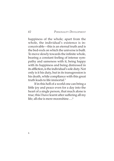happiness of the whole; apart from the whole, the individual's existence is inconceivable—this is an eternal truth and is the bed-rock on which the universe is built. To move slowly towards the infinite whole, bearing a constant feeling of intense sympathy and sameness with it, being happy with its happiness and being distressed in its affliction, is the individual's sole duty. Not only is it his duty, but in its transgression is his death, while compliance with this great truth leads to life immortal.<sup>5</sup>

If in this hell of a world one can bring a little joy and peace even for a day into the heart of a single person, that much alone is true; this I have learnt after suffering all my life; all else is mere moonshine....<sup>6</sup>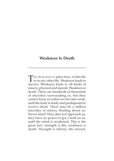## **Weakness Is Death**

THE WEAK HAVE NO place here, in this life<br>or in any other life. Weakness leads to slavery. Weakness leads to all kinds of misery, physical and mental. Weakness is death. There are hundreds of thousands of microbes surrounding us, but they cannot harm us unless we become weak, until the body is ready and predisposed to receive them. There may be a million microbes of misery, floating about us. Never mind! They dare not approach us, they have no power to get a hold on us, until the mind is weakened. This is the great fact: strength is life, weakness is death. Strength is felicity, life eternal,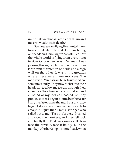immortal; weakness is constant strain and misery; weakness is death.<sup>1</sup>

See how we are flying like hunted hares from all that is terrible, and like them, hiding our heads and thinking we are safe. See how the whole world is flying from everything terrible. Once when I was in Varanasi, I was passing through a place where there was a large tank of water on one side and a high wall on the other. It was in the grounds where there were many monkeys. The monkeys of Varanasi are huge brutes and are sometimes surly. They now took it into their heads not to allow me to pass through their street, so they howled and shrieked and clutched at my feet as I passed. As they pressed closer, I began to run, but the faster I ran, the faster came the monkeys and they began to bite at me. It seemed impossible to escape, but just then I met a stranger who called out to me, "Face the brutes." I turned and faced the monkeys, and they fell back and finally fled. That is a lesson for all life face the terrible, face it boldly. Like the monkeys, the hardships of life fall back when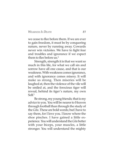## *WEAKNESS IS DEATH 85*

we cease to flee before them. If we are ever to gain freedom, it must be by conquering nature, never by running away. Cowards never win victories. We have to fight fear and troubles and ignorance if we expect them to flee before us.<sup>2</sup>

Strength, strength it is that we want so much in this life, for what we call sin and sorrow have all one cause, and that is our weakness. With weakness comes ignorance, and with ignorance comes misery. It will make us strong. Then miseries will be laughed at, then the violence of the vile will be smiled at, and the ferocious tiger will reveal, behind its tiger's nature, my own  $Self<sup>3</sup>$ 

Be strong, my young friends; that is my advice to you. You will be nearer to Heaven through football than through the study of the *Gita*. These are bold words; but I have to say them, for I love you. I know where the shoe pinches. I have gained a little experience. You will understand the *Gita* better with your biceps, your muscles, a little stronger. You will understand the mighty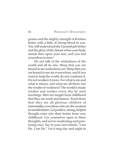genius and the mighty strength of Krishna better with a little of strong blood in you. You will understand the Upanishads better and the glory of the Atman when your body stands firm upon your feet, and you feel yourselves as men.4

Do not talk of the wickedness of the world and all its sins. Weep that you are bound to see wickedness yet. Weep that you are bound to see sin everywhere, and if you want to help the world, do not condemn it. Do not weaken it more. For what is sin and what is misery, and what are all these, but the results of weakness? The world is made weaker and weaker every day by such teachings. Men are taught from childhood that they are weak and sinners. Teach them that they are all glorious children of immortality, even those who are the weakest in manifestation. Let positive, strong, helpful thought enter into their brains from very childhood. Lay yourselves open to these thoughts, and not to weakening and paralysing ones. Say to your own minds, "I am He. I am He." Let it ring day and night in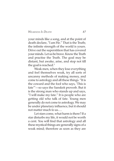*WEAKNESS IS DEATH 87*

your minds like a song, and at the point of death declare, "I am He." That is the Truth; the infinite strength of the world is yours. Drive out the superstition that has covered your minds. Let us be brave. Know the Truth and practise the Truth. The goal may be distant, but awake, arise, and stop not till the goal is reached.<sup>5</sup>

Weak men, when they lose everything and feel themselves weak, try all sorts of uncanny methods of making money, and come to astrology and all these things. "It is the coward and the fool who says, 'This is fate'"—so says the Sanskrit proverb. But it is the strong man who stands up and says, "I will make my fate." It is people who are getting old who talk of fate. Young men generally do not come to astrology. We may be under planetary influence, but it should not matter much to us.…

Let stars come, what harm is there? If a star disturbs my life, it would not be worth a cent. You will find that astrology and all these mystical things are generally signs of a weak mind; therefore as soon as they are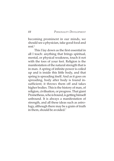becoming prominent in our minds, we should see a physician, take good food and rest.6

This I lay down as the first essential in all I teach: anything that brings spiritual, mental, or physical weakness, touch it not with the toes of your feet. Religion is the manifestation of the natural strength that is in man. A spring of infinite power is coiled up and is inside this little body, and that spring is spreading itself. And as it goes on spreading, body after body is found insufficient; it throws them off and takes higher bodies. This is the history of man, of religion, civilisation, or progress. That giant Prometheus, who is bound, is getting himself unbound. It is always a manifestation of strength, and all these ideas such as astrology, although there may be a grain of truth in them, should be avoided.<sup>7</sup>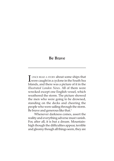## **Be Brave**

NONCE READ A STORY about some ships that<br>were caught in a cyclone in the South Sea were caught in a cyclone in the South Sea Islands, and there was a picture of it in the *Illustrated London News*. All of them were wrecked except one English vessel, which weathered the storm. The picture showed the men who were going to be drowned, standing on the decks and cheering the people who were sailing through the storm. Be brave and generous like that.<sup>1</sup>

Whenever darkness comes, assert the reality and everything adverse must vanish. For, after all, it is but a dream. Mountainhigh though the difficulties appear, terrible and gloomy though all things seem, they are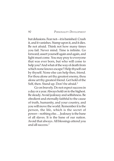but delusions. Fear not—it is banished. Crush it, and it vanishes. Stamp upon it, and it dies. Be not afraid. Think not how many times you fail. Never mind. Time is infinite. Go forward; assert yourself again and again, and light must come. You may pray to everyone that was ever born, but who will come to help you? And what of the way of death from which none knows escape? Help thyself out by thyself. None else can help thee, friend. For thou alone art thy greatest enemy, thou alone art thy greatest friend. Get hold of the Self, then. Stand up. Don't be afraid.<sup>2</sup>

Go on bravely. Do not expect success in a day or a year. Always hold on to the highest. Be steady. Avoid jealousy and selfishness. Be obedient and eternally faithful to the cause of truth, humanity, and your country, and you will move the world. Remember it is the person, the life, which is the secret of power—nothing else.…Jealousy is the bane of all slaves. It is the bane of our nation. Avoid that always. All blessings attend you and all success.3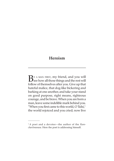# **Heroism**

 $\sum_{\text{see how all those things and the rest will fall over the following.}$ follow of themselves after you. Give up that hateful malice, that dog-like bickering and barking at one another, and take your stand on good purpose, right means, righteous courage, and be brave. When you are born a man, leave some indelible mark behind you. "When you first came to this world, O Tulsi,<sup>1</sup> the world rejoiced and you cried; now live

<sup>1</sup> A poet and a devotee—the author of the *Ramcharitmanasa*. Here the poet is addressing himself.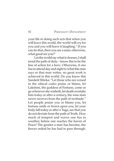your life in doing such acts that when you will leave this world, the world will cry for you and you will leave it laughing." If you can do that, then you are a man; otherwise, what good are you? $1$ 

Let the world say what it chooses, I shall tread the path of duty—know this to be the line of action for a hero. Otherwise, if one has to attend day and night to what this man says or that man writes, no great work is achieved in this world. Do you know this Sanskrit Shloka: "Let those who are versed in the ethical codes praise or blame, let Lakshmi, the goddess of Fortune, come or go wherever she wisheth, let death overtake him today or after a century, the wise man never swerves from the path of rectitude." Let people praise you or blame you, let fortune smile or frown upon you, let your body fall today or after a Yuga, see that you do not deviate from the path of Truth. How much of tempest and waves one has to weather, before one reaches the haven of Peace! The greater a man has become, the fiercer ordeal he has had to pass through.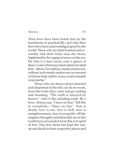#### *HEROISM 93*

Their lives have been tested true by the touchstone of practical life, and only then have they been acknowledged great by the world. Those who are faint-hearted and cowardly sink their barks near the shore, frightened by the raging of waves on the sea. He who is a hero never casts a glance at these. Come what may, I must attain my ideal first—this is *Purushakara*, manly endeavour; without such manly endeavour no amount of Divine help will be of any avail to banish your inertia.2

Those who are always down-hearted and dispirited in this life can do no work; from life to life they come and go wailing and moaning. "The earth is enjoyed by heroes"—this is the unfailing truth. Be a hero. Always say, "I have no fear." Tell this to everybody—"Have no fear ". Fear is death, fear is sin, fear is hell, fear is unrighteousness, fear is wrong life. All the negative thoughts and ideas that are in this world have proceeded from this evil spirit of fear. This fear alone has kept the sun, air and death in their respective places and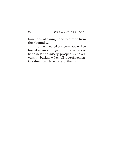functions, allowing none to escape from their bounds....

In this embodied existence, you will be tossed again and again on the waves of happiness and misery, prosperity and adversity—but know them all to be of momentary duration. Never care for them.<sup>3</sup>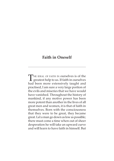# **Faith in Oneself**

THE IDEAL OF FAITH IN ourselves is of the<br>greatest help to us. If faith in ourselves had been more extensively taught and practised, I am sure a very large portion of the evils and miseries that we have would have vanished. Throughout the history of mankind, if any motive power has been more potent than another in the lives of all great men and women, it is that of faith in themselves. Born with the consciousness that they were to be great, they became great. Let a man go down as low as possible; there must come a time when out of sheer desperation he will take an upward curve and will learn to have faith in himself. But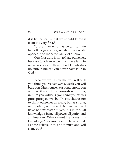it is better for us that we should know it from the very first.<sup>1</sup>

To the man who has begun to hate himself the gate to degeneration has already opened; and the same is true of a nation.

Our first duty is not to hate ourselves, because to advance we must have faith in ourselves first and then in God. He who has no faith in himself can never have faith in God<sup>2</sup>

Whatever you think, that you will be. If you think yourselves weak, weak you will be; if you think yourselves strong, strong you will be; if you think yourselves impure, impure you will be; if you think yourselves pure, pure you will be. This teaches us not to think ourselves as weak, but as strong, omnipotent, omniscient. No matter that I have not expressed it yet, it is in me. All knowledge is in me, all power, all purity, and all freedom. Why cannot I express this knowledge? Because I do not believe in it. Let me believe in it, and it must and will come out.3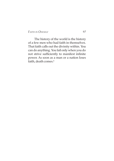*FAITH IN ONESELF 97*

The history of the world is the history of a few men who had faith in themselves. That faith calls out the divinity within. You can do anything. You fail only when you do not strive sufficiently to manifest infinite power. As soon as a man or a nation loses faith, death comes.<sup>4</sup>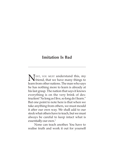# **Imitation Is Bad**

**NEXT, YOU MUST understand this, my**<br>friend, that we have many things to<br>learn from other nations. The many vho sexue learn from other nations. The man who says he has nothing more to learn is already at his last grasp. The nation that says it knows everything is on the very brink of destruction! "As long as I live, so long do I learn." But one point to note here is that when we take anything from others, we must mould it after our own way. We shall add to our stock what others have to teach, but we must always be careful to keep intact what is essentially our own.<sup>1</sup>

None can teach another. You have to realise truth and work it out for yourself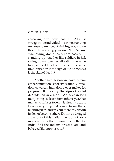*IMITATION IS BAD 99*

according to your own nature…. All must struggle to be individuals—strong, standing on your own feet, thinking your own thoughts, realising your own Self. No use swallowing doctrines others pass on standing up together like soldiers in jail, sitting down together, all eating the same food, all nodding their heads at the same time. Variation is the sign of life. Sameness is the sign of death.<sup>2</sup>

Another great lesson we have to remember; imitation is not civilisation... Imitation, cowardly imitation, never makes for progress. It is verily the sign of awful degradation in a man... We have indeed many things to learn from others, yea, that man who refuses to learn is already dead... Learn everything that is good from others, but bring it in, and in your own way absorb it; do not become others. Do not be dragged away out of this Indian life; do not for a moment think that it would be better for India if all the Indians dressed, ate, and behaved like another race.3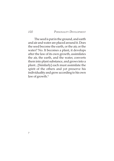The seed is put in the ground, and earth and air and water are placed around it. Does the seed become the earth, or the air, or the water? No. It becomes a plant, it develops after the law of its own growth, assimilates the air, the earth, and the water, converts them into plant substance, and grows into a plant...[Similarly] each must assimilate the spirit of the others and yet preserve his individuality and grow according to his own law of growth.<sup>4</sup>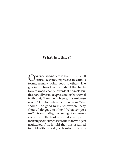# **What Is Ethics?**

ONE IDEA STANDS OUT AS the centre of all<br>ethical systems, expressed in various<br>forms, namely, deign good to ethers. The forms, namely, doing good to others. The guiding motive of mankind should be charity towards men, charity towards all animals. But these are all various expressions of that eternal truth that, "I am the universe; this universe is one." Or else, where is the reason? Why should I do good to my fellowmen? Why should I do good to others? What compels me? It is sympathy, the feeling of sameness everywhere. The hardest hearts feel sympathy for beings sometimes. Even the man who gets frightened if he is told that this assumed individuality is really a delusion, that it is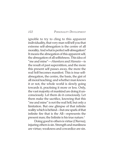ignoble to try to cling to this apparent individuality, that very man will tell you that extreme self-abnegation is the centre of all morality. And what is perfect self-abnegation? It means the abnegation of this apparent self, the abnegation of all selfishness. This idea of "me and mine"—*Ahamkara* and *Mamata*—is the result of past superstition, and the more this present self passes away, the more the real Self becomes manifest. This is true selfabnegation, the centre, the basis, the gist of all moral teaching; and whether man knows it or not, the whole world is slowly going towards it, practising it more or less. Only, the vast majority of mankind are doing it unconsciously. Let them do it consciously. Let them make the sacrifice, knowing that this "me and mine" is not the real Self, but only a limitation. But one glimpse of that infinite reality which is behind—but one spark of that infinite fire that is the All—represents the present man; the Infinite is his true nature.<sup>1</sup>

Doing good to others is virtue (*Dharma*); injuring others is sin. Strength and manliness are virtue; weakness and cowardice are sin.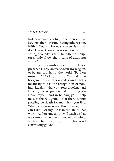*WHAT IS ETHICS? 103*

Independence is virtue; dependence is sin. Loving others is virtue; hating others is sin. Faith in God and in one's own Self is virtue; doubt is sin. Knowledge of oneness is virtue; seeing diversity is sin. The different scriptures only show the means of attaining virtue.<sup>2</sup>

It is the quintessence of all ethics, preached in any language, or in any religion, or by any prophet in the world. "Be thou unselfish", "Not 'I', but 'thou'"—that is the background of all ethical codes. And what is meant by this is the recognition of nonindividuality—that you are a part of me, and I of you; the recognition that in hurting you I hurt myself, and in helping you I help myself; the recognition that there cannot possibly be death for me when you live. When one worm lives in this universe, how can I die? For my life is in the life of that worm. At the same time it will teach us that we cannot leave one of our fellow-beings without helping him, that in his good consists my good.<sup>3</sup>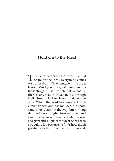## **Hold On to the Ideal**

THAT IS THE ONE GREAT FIRST STEP—the real<br>desire for the ideal. Everything comes easy after that…. The struggle is the great lesson. Mind you, the great benefit in this life is struggle. It is through that we pass. If there is any road to Heaven, it is through Hell. Through Hell to Heaven is always the way. When the soul has wrestled with circumstances and has met death, a thousand times death on the way, but nothing daunted has struggled forward again and again and yet again, then the soul comes out as a giant and laughs at the ideal he has been struggling for, because he finds how much greater is he than the ideal. I am the end,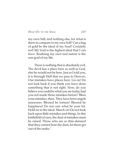## *HOLD ON TO THE IDEAL 105*

my own Self, and nothing else, for what is there to compare to my own Self? Can a bag of gold be the ideal of my Soul? Certainly not! My Soul is the highest ideal that I can have. Realising my own real nature is the one goal of my life.

There is nothing that is absolutely evil. The devil has a place here as well as God, else he would not be here. Just as I told you, it is through Hell that we pass to Heaven. Our mistakes have places here. Go on! Do not look back if you think you have done something that is not right. Now, do you believe you could be what you are today, had you not made those mistakes before? Bless your mistakes, then. They have been angels unawares. Blessed be torture! Blessed be happiness! Do not care what be your lot. Hold on to the ideal. March on! Do not look back upon little mistakes and things. In this battlefield of ours, the dust of mistakes must be raised. Those who are so thin-skinned that they cannot bear the dust, let them get out of the ranks. $1$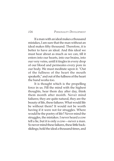If a man with an ideal makes a thousand mistakes, I am sure that the man without an ideal makes fifty thousand. Therefore, it is better to have an ideal. And this ideal we must hear about as much as we can, till it enters into our hearts, into our brains, into our very veins, until it tingles in every drop of our blood and permeates every pore in our body. We must meditate upon it. "Out of the fullness of the heart the mouth speaketh," and out of the fullness of the heart the hand works too.

It is thought which is the propelling force in us. Fill the mind with the highest thoughts, hear them day after day, think them month after month. Never mind failures; they are quite natural, they are the beauty of life, these failures. What would life be without them? It would not be worth having if it were not for struggles. Where would be the poetry of life? Never mind the struggles, the mistakes. I never heard a cow tell a lie, but it is only a cow—never a man. So never mind these failures, these little backslidings; hold the ideal a thousand times, and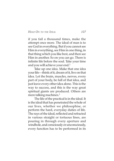## *HOLD ON TO THE IDEAL 107*

if you fail a thousand times, make the attempt once more. The ideal of man is to see God in everything. But if you cannot see Him in everything, see Him in one thing, in that thing which you like best, and then see Him in another. So on you can go. There is infinite life before the soul. Take your time and you will achieve your end.<sup>2</sup>

Take up one idea. Make that one idea your life—think of it, dream of it, live on that idea. Let the brain, muscles, nerves, every part of your body, be full of that idea, and just leave every other idea alone. This is the way to success, and this is the way great spiritual giants are produced. Others are mere talking machines.<sup>3</sup>

The life of the practical is in the ideal. It is the ideal that has penetrated the whole of our lives, whether we philosophise, or perform the hard, everyday duties of life. The rays of the ideal, reflected and refracted in various straight or tortuous lines, are pouring in through every aperture and windhole, and consciously or unconsciously, every function has to be performed in its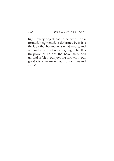light, every object has to be seen transformed, heightened, or deformed by it. It is the ideal that has made us what we are, and will make us what we are going to be. It is the power of the ideal that has enshrouded us, and is felt in our joys or sorrows, in our great acts or mean doings, in our virtues and vices.4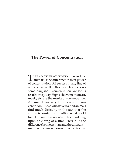# **The Power of Concentration**

THE MAIN DIFFERENCE BETWEEN men and the<br>animals is the difference in their power of concentration. All success in any line of work is the result of this. Everybody knows something about concentration. We see its results every day. High achievements in art, music, etc. are the results of concentration. An animal has very little power of concentration. Those who have trained animals find much difficulty in the fact that the animal is constantly forgetting what is told him. He cannot concentrate his mind long upon anything at a time. Herein is the difference between man and the animals man has the greater power of concentration.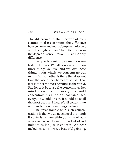The difference in their power of concentration also constitutes the difference between man and man. Compare the lowest with the highest man. The difference is in the degree of concentration. This is the only difference.

Everybody's mind becomes concentrated at times. We all concentrate upon those things we love, and we love those things upon which we concentrate our minds. What mother is there that does not love the face of her homeliest child? That face is to her the most beautiful in the world. She loves it because she concentrates her mind upon it; and if every one could concentrate his mind on that same face, everyone would love it. It would be to all the most beautiful face. We all concentrate our minds upon those things we love.

The great trouble with such concentrations is that we do not control the mind; it controls us. Something outside of ourselves, as it were, draws the mind into it and holds it as long as it chooses. We hear melodious tones or see a beautiful painting,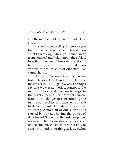#### *THE POWER OF CONCENTRATION 111*

and the mind is held fast; we cannot take it away.

If I speak to you well upon a subject you like, your mind becomes concentrated upon what I am saying. I draw your mind away from yourself and hold it upon the subject in spite of yourself. Thus our attention is held, our minds are concentrated upon various things, in spite of ourselves. We cannot help it.

Now the question is: Can this concentration be developed, and can we become masters of it? The Yogis say, yes. The Yogis say that we can get perfect control of the mind. On the ethical side there is danger in the development of the power of concentration—the danger of concentrating the mind upon an object and then being unable to detach at will. This state causes great suffering. Almost all of our suffering is caused by our not having the power of detachment. So along with the development of concentration we must develop the power of detachment. We must learn not only to attach the mind to one thing exclusively, but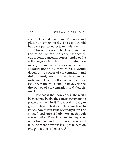also to detach it at a moment's notice and place it on something else. These two should be developed together to make it safe.

This is the systematic development of the mind. To me the very essence of education is concentration of mind, not the collecting of facts. If I had to do my education over again, and had any voice in the matter, I would not study facts at all. I would develop the power of concentration and detachment, and then with a perfect instrument I could collect facts at will. Side by side, in the child, should be developed the power of concentration and detachment $1$ 

How has all the knowledge in the world been gained but by the concentration of the powers of the mind? The world is ready to give up its secrets if we only know how to knock, how to give it the necessary blow. The strength and force of the blow come through concentration. There is no limit to the power of the human mind. The more concentrated it is, the more power is brought to bear on one point; that is the secret.<sup>2</sup>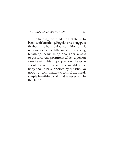#### *THE POWER OF CONCENTRATION 113*

In training the mind the first step is to begin with breathing. Regular breathing puts the body in a harmonious condition; and it is then easier to reach the mind. In practicing breathing, the first thing to consider is *Asana* or posture. Any posture in which a person can sit easily is his proper position. The spine should be kept free, and the weight of the body should be supported by the ribs. Do not try by contrivances to control the mind; simple breathing is all that is necessary in that  $line<sup>3</sup>$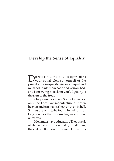# **Develop the Sense of Equality**

**D**O NOT PITY ANYONE. LOOK upon all as<br>your equal, cleanse yourself of the<br>primal sin of incorrelity  $N_0$  are all agreed and primal sin of inequality. We are all equal and must not think, "I am good and you are bad, and I am trying to reclaim you". Equality is the sign of the free....

Only sinners see sin. See not man, see only the Lord. We manufacture our own heaven and can make a heaven even in hell. Sinners are only to be found in hell, and as long as we see them around us, we are there ourselves.1

Men must have education. They speak of democracy, of the equality of all men, these days. But how will a man know he is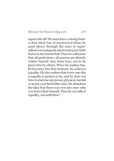*DEVELOP THE SENSE OF EQUALITY 115*

equal with all? He must have a strong brain, a clear mind free of nonsensical ideas; he must pierce through the mass of superstitions encrusting his mind to the pure truth that is in his inmost Self. Then he will know that all perfections, all powers are already within himself, that these have not to be given him by others. When he realises this, he becomes free that moment, he achieves equality. He also realises that every one else is equally as perfect as he, and he does not have to exercise any power, physical, mental or moral, over his brother men. He abandons the idea that there was ever any man who was lower than himself. Then he can talk of equality; not until then.<sup>2</sup>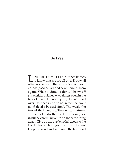# **Be Free**

LEARN TO FEEL YOURSELF in other bodies,<br>
to know that we are all one. Throw all other nonsense to the winds. Spit out your actions, good or bad, and never think of them again. What is done is done. Throw off superstition. Have no weakness even in the face of death. Do not repent, do not brood over past deeds, and do not remember your good deeds; be *azad* (free). The weak, the fearful, the ignorant will never reach Atman. You cannot undo, the effect must come, face it, but be careful never to do the same thing again. Give up the burden of all deeds to the Lord; give all, both good and bad. Do not keep the good and give only the bad. God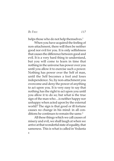*BE FREE 117*

helps those who do not help themselves.<sup>1</sup>

When you have acquired the feeling of non-attachment, there will then be neither good nor evil for you. It is only selfishness that causes the difference between good and evil. It is a very hard thing to understand, but you will come to learn in time that nothing in the universe has power over you until you allow it to exercise such a power. Nothing has power over the Self of man, until the Self becomes a fool and loses independence. So, by non-attachment you overcome and deny the power of anything to act upon you. It is very easy to say that nothing has the right to act upon you until you allow it to do so; but what is the true sign of the man who…is neither happy nor unhappy when acted upon by the external world? The sign is that good or ill fortune causes no change in his mind: in all conditions he continues to remain the same.<sup>2</sup>

All these things which we call causes of misery and evil, we shall laugh at when we arrive at that wonderful state of equality, that sameness. This is what is called in Vedanta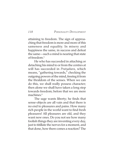attaining to freedom. The sign of approaching that freedom is more and more of this sameness and equality. In misery and happiness the same, in success and defeat the same—such a mind is nearing that state of freedom.3

He who has succeeded in attaching or detaching his mind to or from the centres at will has succeeded in *Pratyahara*, which means, "gathering towards," checking the outgoing powers of the mind, freeing it from the thraldom of the senses. When we can do this, we shall really possess character; then alone we shall have taken a long step towards freedom; before that we are mere machines.4

The sage wants liberty; he finds that sense-objects are all vain and that there is no end to pleasures and pains. How many rich people in the world want to find fresh pleasures! All pleasures are old, and they want new ones. Do you not see how many foolish things they are inventing every day, just to titillate the nerves for a moment, and that done, how there comes a reaction? The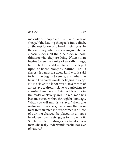*BE FREE 119*

majority of people are just like a flock of sheep. If the leading sheep falls into a ditch, all the rest follow and break their necks. In the same way, what one leading member of a society does, all the others do, without thinking what they are doing. When a man begins to see the vanity of worldly things, he will feel he ought not to be thus played upon or borne along by nature. That is slavery. If a man has a few kind words said to him, he begins to smile, and when he hears a few harsh words, he begins to weep. He is a slave to a bit of bread, to a breath of air; a slave to dress, a slave to patriotism, to country, to name, and to fame. He is thus in the midst of slavery and the real man has become buried within, through his bondage. What you call man is a slave. When one realises all this slavery, then comes the desire to be free; an intense desire comes. If a piece of burning charcoal be placed on a man's head, see how he struggles to throw it off. Similar will be the struggle for freedom of a man who really understands that he is a slave of nature.5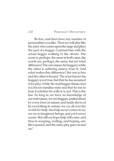Be free, and then have any number of personalities you like. Then we will play like the actor who comes upon the stage and plays the part of a beggar. Contrast him with the actual beggar walking in the streets. The scene is, perhaps, the same in both cases, the words are, perhaps, the same, but yet what difference! The one enjoys his beggary while the other is suffering misery from it. And what makes this difference? the one is free and the other is bound. The actor knows his beggary is not true, but that he has assumed it for play, while the real beggar thinks that it is his too familiar state and that he has to bear it whether he wills it or not. This is the law. So long as we have no knowledge of our real nature, we are beggars, jostled about by every force in nature; and made slaves of by everything in nature; we cry all over the world for help, but help never comes to us; we cry to imaginary beings, and yet it never comes. But still we hope help will come, and thus in weeping, wailing, and hoping, one life is passed, and the same play goes on and  $On.<sup>6</sup>$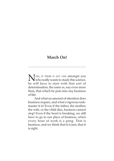# **March On!**

NOW, IF THERE IS ANY ONE amongst you<br>who really wants to study this science, he will have to start with that sort of determination, the same as, nay even more than, that which he puts into any business of life.

And what an amount of attention does business require, and what a rigorous taskmaster it is! Even if the father, the mother, the wife, or the child dies, business cannot stop! Even if the heart is breaking, we still have to go to our place of business, when every hour of work is a pang. That is business, and we think that it is just, that it is right.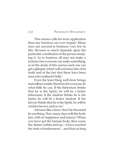This science calls for more application than any business can ever require. Many men can succeed in business; very few in this. Because so much depends upon the particular constitution of the person studying it. As in business all may not make a fortune, but everyone can make something, so in the study of this science each one can get a glimpse which will convince him of its truth and of the fact that there have been men who realised it fully.<sup>1</sup>

Even the least thing well done brings marvellous results; therefore let everyone do what little he can. If the fisherman thinks that he is the Spirit, he will be a better fisherman; if the student thinks he is the Spirit, he will be a better student. If the lawyer thinks that he is the Spirit, he will be a better lawyer, and so on.<sup>2</sup>

Advance like a hero. Don't be thwarted by anything. How many days will this body last, with its happiness and misery? When you have got the human body, then rouse the Atman within and say—I have reached the state of fearlessness!…and then as long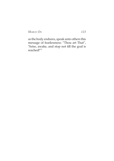*MARCH ON 123*

as the body endures, speak unto others this message of fearlessness: "Thou art That", "Arise, awake, and stop not till the goal is reached!"3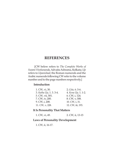[CW below refers to *The Complete Works of Swami Vivekananda,* Advaita Ashrama, Kolkata; *Up* refers to *Upanishad*; the Roman numerals and the Arabic numerals following CW refer to the volume number and to the page numbers respectively.]

#### **Introduction**

| 1. CW, vi, 30.          | 2. <i>Gita</i> , 6. 5-6. |
|-------------------------|--------------------------|
| 3. Katha Up, 1. 3. 3-4. | 4. Kena Up, 1. 1-2.      |
| 5. CW, vii, 501.        | 6. CW, i, 124.           |
| 7. CW, iv, 200.         | 8. CW, v, 308.           |
| 9. CW, i, 208.          | 10. CW, i, 31.           |
| 11. CW, v, 228.         | 12. CW, iii, 193.        |

#### **It Is Personality That Matters**

1. CW, vi, 49. 2. CW, ii, 13-15

#### **Laws of Personality Development**

1. CW, ii, 16-17.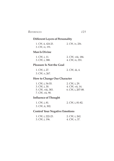# **Different Layers of Personality**

| 1. CW, ii, 424-25. | 2. CW, iv, 256. |
|--------------------|-----------------|
| 3. CW, iv, 191.    |                 |

#### **Man Is Divine**

| 1. CW, i, 11.  | 2. CW, viii, 186. |
|----------------|-------------------|
| 3. CW, i, 388. | 4. CW, iv, 351.   |

## **Pleasure Is Not the Goal**

| 1. CW, i, 27.  | 2. CW, iii, 4. |
|----------------|----------------|
| 3. CW, v, 267. |                |

## **How to Change Our Character**

| $1. \text{CW}$ , i, 54-55. | 2. CW, i, 29.     |
|----------------------------|-------------------|
| 3. CW, i, 30.              | 4. CW, vii, 14.   |
| 5. CW, viii, 383.          | 6. CW, i, 207-08. |
| 7. CW, vii, 90.            |                   |

# **Influence of Thought**

| 1. CW, i, 81.   | 2. CW, i, 81-82. |
|-----------------|------------------|
| 3. CW, ii, 302. |                  |

# **Control Your Negative Emotions**

| 1. CW, i, 222-23. | 2. CW, i, 262. |
|-------------------|----------------|
| 3. CW, i, 196.    | 4. CW, v, 37.  |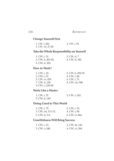## **Change Yourself First**

| 1. CW, i, 426.     | 2. CW, i, 92. |
|--------------------|---------------|
| 3. CW, vii, 27-28. |               |

## **Take the Whole Responsibility on Yourself**

| 1. CW, i, 31.      | 2. CW, ii, 7.   |
|--------------------|-----------------|
| 3. CW, ii, 201-02. | 4. CW, ii, 182. |
| 5. CW, ii, 225.    |                 |

## **How to Work?**

| 1. CW, i, 32.    | 2. CW, ii, 292-93. |
|------------------|--------------------|
| 3. CW, i, 31.    | 4. CW, i, 40.      |
| 5. CW, vi, 455.  | $6.$ CW, i, 71.    |
| 7. CW, ii, 150.  | 8. CW, vii, 508.   |
| 9. CW, v, 239-40 |                    |

#### **Work Like a Master**

| 1. CW, i, 57.   | 2. CW, v, 241. |
|-----------------|----------------|
| 3. CW, ii, 149. |                |

## **Doing Good to This World**

| 1. CW, i, 75.       | 2. CW, i, 76.   |
|---------------------|-----------------|
| 3. CW, vii, 111-12. | 4. CW, i, 90.   |
| 5. CW, ii, 5-6      | 6. CW, iv, 464. |

## **Unselfishness Will Bring Success**

| 1. CW, i, 33.  | 2. CW, iii, 143. |
|----------------|------------------|
| 3. CW, v, 240. | 4. CW, vi, 294.  |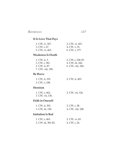# **It Is Love That Pays**

| 1. CW, iv, 367. | 2. CW, vi, 451. |
|-----------------|-----------------|
| 3. CW, i, 67.   | 4. CW, v, 51.   |
| 5. CW, vi, 463. | 6. CW, v, 177.  |

# **Weakness Is Death**

| 1. CW, ii, 3.     | 2. CW, i, 338-39. |
|-------------------|-------------------|
| 3. CW, i, 381.    | 4. CW, iii, 242.  |
| 5. CW, ii, 87.    | 6. CW, viii, 184. |
| 7. CW, viii, 185. |                   |

## **Be Brave**

| 1. CW, ii, 351. | 2. CW, ii, 403. |
|-----------------|-----------------|
| 3. CW, v, 108.  |                 |

## **Heroism**

| 1. CW, v, 462.   | 2. CW, vii, 126. |
|------------------|------------------|
| 3. CW, vii, 136. |                  |

# **Faith in Oneself**

| 1. CW, ii, 301.  | 2. CW, i, 38.     |
|------------------|-------------------|
| 3. CW, iii, 130. | 4. CW, viii, 228. |

# **Imitation Is Bad**

| 1. CW, v, 463.      | 2. CW, vi, 65. |
|---------------------|----------------|
| 3. CW, iii, 381-82. | 4. CW, i, 24.  |